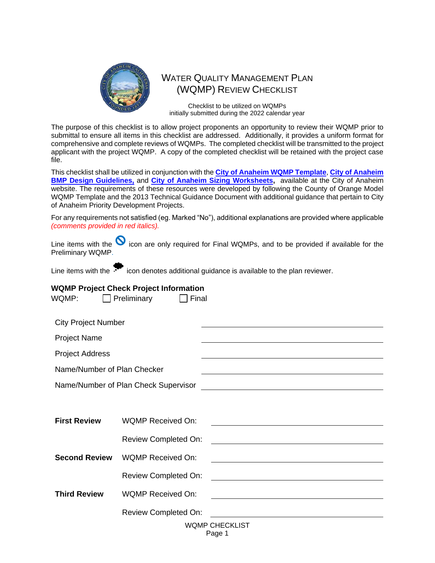

# WATER QUALITY MANAGEMENT PLAN (WQMP) REVIEW CHECKLIST

Checklist to be utilized on WQMPs initially submitted during the 2022 calendar year

The purpose of this checklist is to allow project proponents an opportunity to review their WQMP prior to submittal to ensure all items in this checklist are addressed. Additionally, it provides a uniform format for comprehensive and complete reviews of WQMPs. The completed checklist will be transmitted to the project applicant with the project WQMP. A copy of the completed checklist will be retained with the project case file.

This checklist shall be utilized in conjunction with the **[City of Anaheim WQMP Template](https://www.anaheim.net/DocumentCenter/View/28936/City-of-Anaheim-WQMP-Template-2019-11-18)**, **[City of Anaheim](http://anaheim.net/DocumentCenter/View/28937/City-of-Anaheim-BMP-Design-Guidelines-2019-11-18)  [BMP Design Guidelines,](http://anaheim.net/DocumentCenter/View/28937/City-of-Anaheim-BMP-Design-Guidelines-2019-11-18)** and **[City of Anaheim Sizing Worksheets,](http://www.anaheim.net/DocumentCenter/View/35463/City-of-Anaheim-Sizing-Worksheets)** available at the City of Anaheim website. The requirements of these resources were developed by following the County of Orange Model WQMP Template and the 2013 Technical Guidance Document with additional guidance that pertain to City of Anaheim Priority Development Projects.

For any requirements not satisfied (eg. Marked "No"), additional explanations are provided where applicable *(comments provided in red italics).* 

Line items with the  $\bullet$  icon are only required for Final WQMPs, and to be provided if available for the Preliminary WQMP.

Line items with the  $\mathcal{F}$  icon denotes additional guidance is available to the plan reviewer.

#### **WQMP Project Check Project Information**  $WQMP: \Box$  Preliminary  $\Box$  Final

| <b>City Project Number</b>  |                                      |                                                                                                                                                                                                                               |
|-----------------------------|--------------------------------------|-------------------------------------------------------------------------------------------------------------------------------------------------------------------------------------------------------------------------------|
| <b>Project Name</b>         |                                      |                                                                                                                                                                                                                               |
| <b>Project Address</b>      |                                      |                                                                                                                                                                                                                               |
| Name/Number of Plan Checker |                                      | the control of the control of the control of the control of the control of the control of the control of the control of the control of the control of the control of the control of the control of the control of the control |
|                             | Name/Number of Plan Check Supervisor | <u> 1989 - Johann Barn, mars ann an t-Amhain an t-Amhain an t-Amhain an t-Amhain an t-Amhain an t-Amhain an t-Amh</u>                                                                                                         |
|                             |                                      |                                                                                                                                                                                                                               |
| <b>First Review</b>         | WOMP Received On:                    |                                                                                                                                                                                                                               |
|                             | <b>Review Completed On:</b>          |                                                                                                                                                                                                                               |
| <b>Second Review</b>        | <b>WQMP Received On:</b>             |                                                                                                                                                                                                                               |
|                             | <b>Review Completed On:</b>          | <u> 1980 - Johann Barn, mars ann an t-Amhain Aonaich an t-Aonaich an t-Aonaich ann an t-Aonaich ann an t-Aonaich</u>                                                                                                          |
| <b>Third Review</b>         | <b>WQMP Received On:</b>             |                                                                                                                                                                                                                               |
|                             | <b>Review Completed On:</b>          |                                                                                                                                                                                                                               |
|                             |                                      | <b>WQMP CHECKLIST</b><br>Page 1                                                                                                                                                                                               |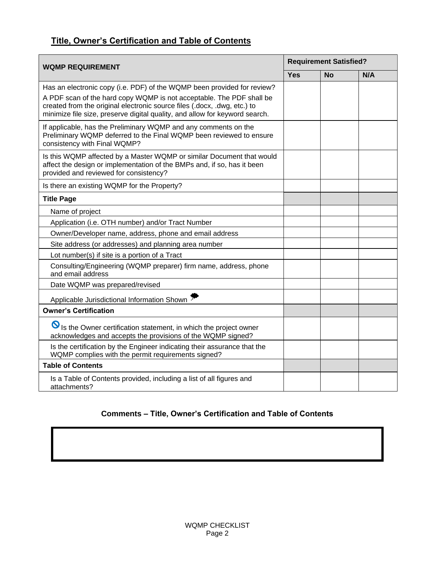# **Title, Owner's Certification and Table of Contents**

| <b>WQMP REQUIREMENT</b>                                                                                                                                                                                                                                                                                    |  | <b>Requirement Satisfied?</b> |     |  |  |
|------------------------------------------------------------------------------------------------------------------------------------------------------------------------------------------------------------------------------------------------------------------------------------------------------------|--|-------------------------------|-----|--|--|
|                                                                                                                                                                                                                                                                                                            |  | <b>No</b>                     | N/A |  |  |
| Has an electronic copy (i.e. PDF) of the WQMP been provided for review?<br>A PDF scan of the hard copy WQMP is not acceptable. The PDF shall be<br>created from the original electronic source files (.docx, .dwg, etc.) to<br>minimize file size, preserve digital quality, and allow for keyword search. |  |                               |     |  |  |
| If applicable, has the Preliminary WQMP and any comments on the<br>Preliminary WQMP deferred to the Final WQMP been reviewed to ensure<br>consistency with Final WQMP?                                                                                                                                     |  |                               |     |  |  |
| Is this WQMP affected by a Master WQMP or similar Document that would<br>affect the design or implementation of the BMPs and, if so, has it been<br>provided and reviewed for consistency?                                                                                                                 |  |                               |     |  |  |
| Is there an existing WQMP for the Property?                                                                                                                                                                                                                                                                |  |                               |     |  |  |
| <b>Title Page</b>                                                                                                                                                                                                                                                                                          |  |                               |     |  |  |
| Name of project                                                                                                                                                                                                                                                                                            |  |                               |     |  |  |
| Application (i.e. OTH number) and/or Tract Number                                                                                                                                                                                                                                                          |  |                               |     |  |  |
| Owner/Developer name, address, phone and email address                                                                                                                                                                                                                                                     |  |                               |     |  |  |
| Site address (or addresses) and planning area number                                                                                                                                                                                                                                                       |  |                               |     |  |  |
| Lot number(s) if site is a portion of a Tract                                                                                                                                                                                                                                                              |  |                               |     |  |  |
| Consulting/Engineering (WQMP preparer) firm name, address, phone<br>and email address                                                                                                                                                                                                                      |  |                               |     |  |  |
| Date WQMP was prepared/revised                                                                                                                                                                                                                                                                             |  |                               |     |  |  |
| Applicable Jurisdictional Information Shown                                                                                                                                                                                                                                                                |  |                               |     |  |  |
| <b>Owner's Certification</b>                                                                                                                                                                                                                                                                               |  |                               |     |  |  |
| S Is the Owner certification statement, in which the project owner<br>acknowledges and accepts the provisions of the WQMP signed?                                                                                                                                                                          |  |                               |     |  |  |
| Is the certification by the Engineer indicating their assurance that the<br>WQMP complies with the permit requirements signed?                                                                                                                                                                             |  |                               |     |  |  |
| <b>Table of Contents</b>                                                                                                                                                                                                                                                                                   |  |                               |     |  |  |
| Is a Table of Contents provided, including a list of all figures and<br>attachments?                                                                                                                                                                                                                       |  |                               |     |  |  |

### **Comments – Title, Owner's Certification and Table of Contents**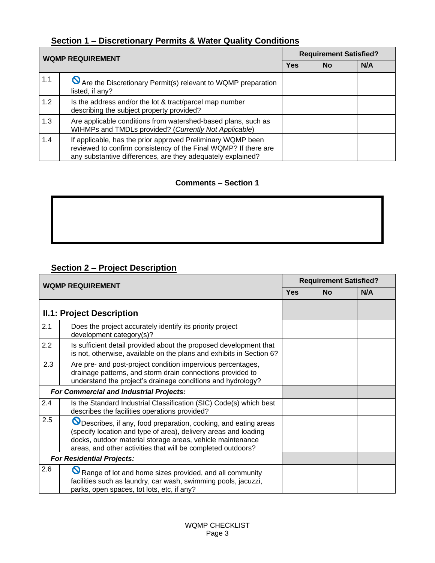# **Section 1 – Discretionary Permits & Water Quality Conditions**

| <b>WQMP REQUIREMENT</b> |                                                                                                                                                                                               |            | <b>Requirement Satisfied?</b> |     |
|-------------------------|-----------------------------------------------------------------------------------------------------------------------------------------------------------------------------------------------|------------|-------------------------------|-----|
|                         |                                                                                                                                                                                               | <b>Yes</b> | <b>No</b>                     | N/A |
| 1.1                     | No Are the Discretionary Permit(s) relevant to WQMP preparation<br>listed, if any?                                                                                                            |            |                               |     |
| 1.2                     | Is the address and/or the lot & tract/parcel map number<br>describing the subject property provided?                                                                                          |            |                               |     |
| 1.3                     | Are applicable conditions from watershed-based plans, such as<br>WIHMPs and TMDLs provided? (Currently Not Applicable)                                                                        |            |                               |     |
| 1.4                     | If applicable, has the prior approved Preliminary WQMP been<br>reviewed to confirm consistency of the Final WQMP? If there are<br>any substantive differences, are they adequately explained? |            |                               |     |

#### **Comments – Section 1**

# **Section 2 – Project Description**

|     | <b>WQMP REQUIREMENT</b>                                                                                                                                                                                                                                           | <b>Requirement Satisfied?</b> |           |     |
|-----|-------------------------------------------------------------------------------------------------------------------------------------------------------------------------------------------------------------------------------------------------------------------|-------------------------------|-----------|-----|
|     |                                                                                                                                                                                                                                                                   | <b>Yes</b>                    | <b>No</b> | N/A |
|     | <b>II.1: Project Description</b>                                                                                                                                                                                                                                  |                               |           |     |
| 2.1 | Does the project accurately identify its priority project<br>development category(s)?                                                                                                                                                                             |                               |           |     |
| 2.2 | Is sufficient detail provided about the proposed development that<br>is not, otherwise, available on the plans and exhibits in Section 6?                                                                                                                         |                               |           |     |
| 2.3 | Are pre- and post-project condition impervious percentages,<br>drainage patterns, and storm drain connections provided to<br>understand the project's drainage conditions and hydrology?                                                                          |                               |           |     |
|     | <b>For Commercial and Industrial Projects:</b>                                                                                                                                                                                                                    |                               |           |     |
| 2.4 | Is the Standard Industrial Classification (SIC) Code(s) which best<br>describes the facilities operations provided?                                                                                                                                               |                               |           |     |
| 2.5 | O Describes, if any, food preparation, cooking, and eating areas<br>(specify location and type of area), delivery areas and loading<br>docks, outdoor material storage areas, vehicle maintenance<br>areas, and other activities that will be completed outdoors? |                               |           |     |
|     | <b>For Residential Projects:</b>                                                                                                                                                                                                                                  |                               |           |     |
| 2.6 | $\boldsymbol{\mathcal{S}}$<br>Range of lot and home sizes provided, and all community<br>facilities such as laundry, car wash, swimming pools, jacuzzi,<br>parks, open spaces, tot lots, etc, if any?                                                             |                               |           |     |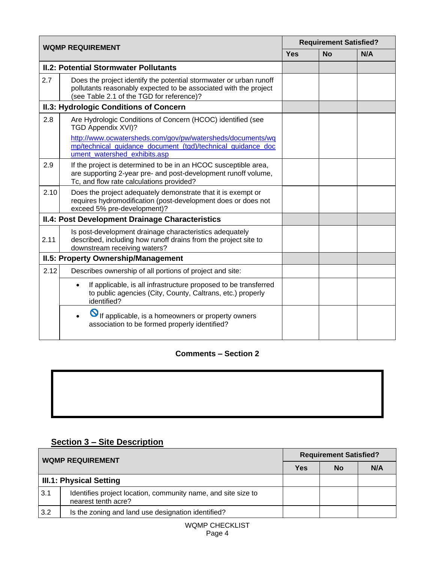|      | <b>WQMP REQUIREMENT</b>                                                                                                                                                             | <b>Requirement Satisfied?</b> |           |     |
|------|-------------------------------------------------------------------------------------------------------------------------------------------------------------------------------------|-------------------------------|-----------|-----|
|      |                                                                                                                                                                                     | <b>Yes</b>                    | <b>No</b> | N/A |
|      | <b>II.2: Potential Stormwater Pollutants</b>                                                                                                                                        |                               |           |     |
| 2.7  | Does the project identify the potential stormwater or urban runoff<br>pollutants reasonably expected to be associated with the project<br>(see Table 2.1 of the TGD for reference)? |                               |           |     |
|      | <b>II.3: Hydrologic Conditions of Concern</b>                                                                                                                                       |                               |           |     |
| 2.8  | Are Hydrologic Conditions of Concern (HCOC) identified (see<br>TGD Appendix XVI)?                                                                                                   |                               |           |     |
|      | http://www.ocwatersheds.com/gov/pw/watersheds/documents/wq<br>mp/technical_guidance_document_(tgd)/technical_guidance_doc<br>ument watershed exhibits.asp                           |                               |           |     |
| 2.9  | If the project is determined to be in an HCOC susceptible area,<br>are supporting 2-year pre- and post-development runoff volume,<br>Tc, and flow rate calculations provided?       |                               |           |     |
| 2.10 | Does the project adequately demonstrate that it is exempt or<br>requires hydromodification (post-development does or does not<br>exceed 5% pre-development)?                        |                               |           |     |
|      | <b>II.4: Post Development Drainage Characteristics</b>                                                                                                                              |                               |           |     |
| 2.11 | Is post-development drainage characteristics adequately<br>described, including how runoff drains from the project site to<br>downstream receiving waters?                          |                               |           |     |
|      | <b>II.5: Property Ownership/Management</b>                                                                                                                                          |                               |           |     |
| 2.12 | Describes ownership of all portions of project and site:                                                                                                                            |                               |           |     |
|      | If applicable, is all infrastructure proposed to be transferred<br>$\bullet$<br>to public agencies (City, County, Caltrans, etc.) properly<br>identified?                           |                               |           |     |
|      | O If applicable, is a homeowners or property owners<br>$\bullet$<br>association to be formed properly identified?                                                                   |                               |           |     |

# **Section 3 – Site Description**

| <b>WQMP REQUIREMENT</b>        |                                                                                      | <b>Requirement Satisfied?</b> |           |     |  |
|--------------------------------|--------------------------------------------------------------------------------------|-------------------------------|-----------|-----|--|
|                                |                                                                                      |                               | <b>No</b> | N/A |  |
| <b>III.1: Physical Setting</b> |                                                                                      |                               |           |     |  |
| 3.1                            | Identifies project location, community name, and site size to<br>nearest tenth acre? |                               |           |     |  |
| 3.2                            | Is the zoning and land use designation identified?                                   |                               |           |     |  |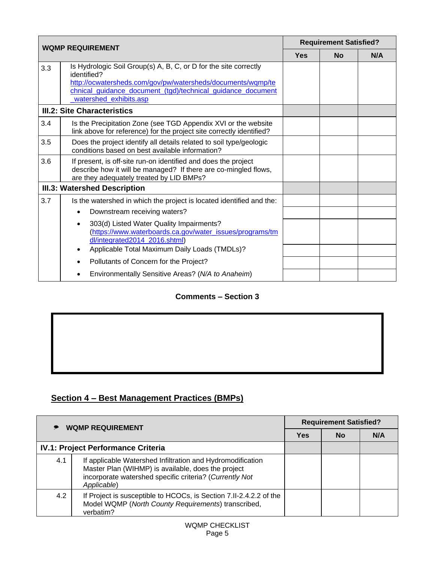|     | <b>WQMP REQUIREMENT</b>                                                                                                                                                                                                                 |  | <b>Requirement Satisfied?</b> |     |
|-----|-----------------------------------------------------------------------------------------------------------------------------------------------------------------------------------------------------------------------------------------|--|-------------------------------|-----|
|     |                                                                                                                                                                                                                                         |  | <b>No</b>                     | N/A |
| 3.3 | Is Hydrologic Soil Group(s) A, B, C, or D for the site correctly<br>identified?<br>http://ocwatersheds.com/gov/pw/watersheds/documents/wqmp/te<br>chnical_guidance_document_(tgd)/technical_guidance_document<br>watershed_exhibits.asp |  |                               |     |
|     | <b>III.2: Site Characteristics</b>                                                                                                                                                                                                      |  |                               |     |
| 3.4 | Is the Precipitation Zone (see TGD Appendix XVI or the website<br>link above for reference) for the project site correctly identified?                                                                                                  |  |                               |     |
| 3.5 | Does the project identify all details related to soil type/geologic<br>conditions based on best available information?                                                                                                                  |  |                               |     |
| 3.6 | If present, is off-site run-on identified and does the project<br>describe how it will be managed? If there are co-mingled flows,<br>are they adequately treated by LID BMPs?                                                           |  |                               |     |
|     | <b>III.3: Watershed Description</b>                                                                                                                                                                                                     |  |                               |     |
| 3.7 | Is the watershed in which the project is located identified and the:                                                                                                                                                                    |  |                               |     |
|     | Downstream receiving waters?<br>$\bullet$                                                                                                                                                                                               |  |                               |     |
|     | 303(d) Listed Water Quality Impairments?<br>$\bullet$<br>(https://www.waterboards.ca.gov/water_issues/programs/tm<br>dl/integrated2014_2016.shtml)                                                                                      |  |                               |     |
|     | Applicable Total Maximum Daily Loads (TMDLs)?<br>$\bullet$                                                                                                                                                                              |  |                               |     |
|     | Pollutants of Concern for the Project?                                                                                                                                                                                                  |  |                               |     |
|     | Environmentally Sensitive Areas? (N/A to Anaheim)                                                                                                                                                                                       |  |                               |     |

# **Section 4 – Best Management Practices (BMPs)**

| <b>WQMP REQUIREMENT</b> |                                                                                                                                                                                            | <b>Requirement Satisfied?</b> |    |     |
|-------------------------|--------------------------------------------------------------------------------------------------------------------------------------------------------------------------------------------|-------------------------------|----|-----|
|                         |                                                                                                                                                                                            |                               | No | N/A |
|                         | <b>IV.1: Project Performance Criteria</b>                                                                                                                                                  |                               |    |     |
| 4.1                     | If applicable Watershed Infiltration and Hydromodification<br>Master Plan (WIHMP) is available, does the project<br>incorporate watershed specific criteria? (Currently Not<br>Applicable) |                               |    |     |
| 4.2                     | If Project is susceptible to HCOCs, is Section 7.II-2.4.2.2 of the<br>Model WQMP (North County Requirements) transcribed,<br>verbatim?                                                     |                               |    |     |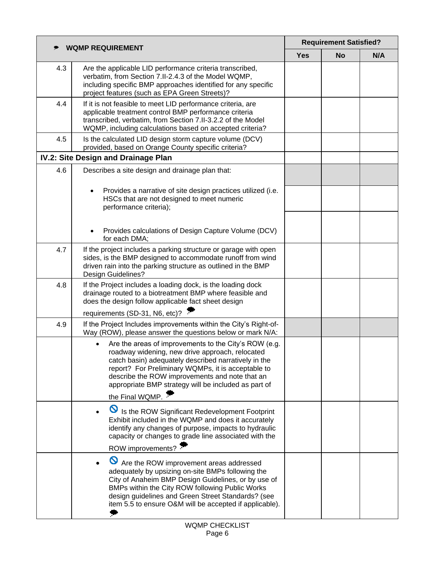| <b>WQMP REQUIREMENT</b> |                                                                                                                                                                                                                                                                                                                                                       | <b>Requirement Satisfied?</b> |           |     |
|-------------------------|-------------------------------------------------------------------------------------------------------------------------------------------------------------------------------------------------------------------------------------------------------------------------------------------------------------------------------------------------------|-------------------------------|-----------|-----|
|                         |                                                                                                                                                                                                                                                                                                                                                       |                               | <b>No</b> | N/A |
| 4.3                     | Are the applicable LID performance criteria transcribed,<br>verbatim, from Section 7.II-2.4.3 of the Model WQMP,<br>including specific BMP approaches identified for any specific<br>project features (such as EPA Green Streets)?                                                                                                                    |                               |           |     |
| 4.4                     | If it is not feasible to meet LID performance criteria, are<br>applicable treatment control BMP performance criteria<br>transcribed, verbatim, from Section 7.II-3.2.2 of the Model<br>WQMP, including calculations based on accepted criteria?                                                                                                       |                               |           |     |
| 4.5                     | Is the calculated LID design storm capture volume (DCV)<br>provided, based on Orange County specific criteria?                                                                                                                                                                                                                                        |                               |           |     |
|                         | IV.2: Site Design and Drainage Plan                                                                                                                                                                                                                                                                                                                   |                               |           |     |
| 4.6                     | Describes a site design and drainage plan that:                                                                                                                                                                                                                                                                                                       |                               |           |     |
|                         | Provides a narrative of site design practices utilized (i.e.<br>$\bullet$<br>HSCs that are not designed to meet numeric<br>performance criteria);                                                                                                                                                                                                     |                               |           |     |
|                         | Provides calculations of Design Capture Volume (DCV)<br>for each DMA;                                                                                                                                                                                                                                                                                 |                               |           |     |
| 4.7                     | If the project includes a parking structure or garage with open<br>sides, is the BMP designed to accommodate runoff from wind<br>driven rain into the parking structure as outlined in the BMP<br>Design Guidelines?                                                                                                                                  |                               |           |     |
| 4.8                     | If the Project includes a loading dock, is the loading dock<br>drainage routed to a biotreatment BMP where feasible and<br>does the design follow applicable fact sheet design                                                                                                                                                                        |                               |           |     |
|                         | requirements (SD-31, N6, etc)?                                                                                                                                                                                                                                                                                                                        |                               |           |     |
| 4.9                     | If the Project Includes improvements within the City's Right-of-<br>Way (ROW), please answer the questions below or mark N/A:                                                                                                                                                                                                                         |                               |           |     |
|                         | Are the areas of improvements to the City's ROW (e.g.<br>roadway widening, new drive approach, relocated<br>catch basin) adequately described narratively in the<br>report? For Preliminary WQMPs, it is acceptable to<br>describe the ROW improvements and note that an<br>appropriate BMP strategy will be included as part of<br>the Final WQMP. : |                               |           |     |
|                         | $\boldsymbol{\mathcal{S}}$<br>Is the ROW Significant Redevelopment Footprint<br>Exhibit included in the WQMP and does it accurately<br>identify any changes of purpose, impacts to hydraulic<br>capacity or changes to grade line associated with the<br>ROW improvements?                                                                            |                               |           |     |
|                         | Are the ROW improvement areas addressed<br>adequately by upsizing on-site BMPs following the<br>City of Anaheim BMP Design Guidelines, or by use of<br>BMPs within the City ROW following Public Works<br>design guidelines and Green Street Standards? (see<br>item 5.5 to ensure O&M will be accepted if applicable).                               |                               |           |     |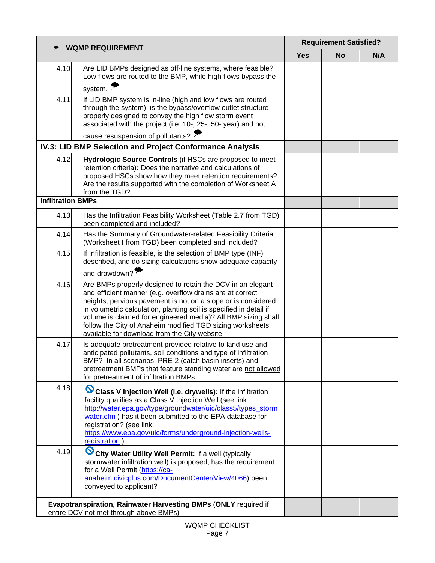| <b>WQMP REQUIREMENT</b>  |                                                                                                                                                                                                                                                                                                                                                                                                                                                | <b>Requirement Satisfied?</b> |           |     |
|--------------------------|------------------------------------------------------------------------------------------------------------------------------------------------------------------------------------------------------------------------------------------------------------------------------------------------------------------------------------------------------------------------------------------------------------------------------------------------|-------------------------------|-----------|-----|
|                          |                                                                                                                                                                                                                                                                                                                                                                                                                                                |                               | <b>No</b> | N/A |
| 4.10                     | Are LID BMPs designed as off-line systems, where feasible?<br>Low flows are routed to the BMP, while high flows bypass the                                                                                                                                                                                                                                                                                                                     |                               |           |     |
|                          | system. $\cdot$                                                                                                                                                                                                                                                                                                                                                                                                                                |                               |           |     |
| 4.11                     | If LID BMP system is in-line (high and low flows are routed<br>through the system), is the bypass/overflow outlet structure<br>properly designed to convey the high flow storm event<br>associated with the project (i.e. 10-, 25-, 50- year) and not                                                                                                                                                                                          |                               |           |     |
|                          | cause resuspension of pollutants?                                                                                                                                                                                                                                                                                                                                                                                                              |                               |           |     |
|                          | IV.3: LID BMP Selection and Project Conformance Analysis                                                                                                                                                                                                                                                                                                                                                                                       |                               |           |     |
| 4.12                     | Hydrologic Source Controls (if HSCs are proposed to meet<br>retention criteria): Does the narrative and calculations of<br>proposed HSCs show how they meet retention requirements?<br>Are the results supported with the completion of Worksheet A<br>from the TGD?                                                                                                                                                                           |                               |           |     |
| <b>Infiltration BMPs</b> |                                                                                                                                                                                                                                                                                                                                                                                                                                                |                               |           |     |
| 4.13                     | Has the Infiltration Feasibility Worksheet (Table 2.7 from TGD)<br>been completed and included?                                                                                                                                                                                                                                                                                                                                                |                               |           |     |
| 4.14                     | Has the Summary of Groundwater-related Feasibility Criteria<br>(Worksheet I from TGD) been completed and included?                                                                                                                                                                                                                                                                                                                             |                               |           |     |
| 4.15                     | If Infiltration is feasible, is the selection of BMP type (INF)<br>described, and do sizing calculations show adequate capacity                                                                                                                                                                                                                                                                                                                |                               |           |     |
|                          | and drawdown? $\cdot$                                                                                                                                                                                                                                                                                                                                                                                                                          |                               |           |     |
| 4.16                     | Are BMPs properly designed to retain the DCV in an elegant<br>and efficient manner (e.g. overflow drains are at correct<br>heights, pervious pavement is not on a slope or is considered<br>in volumetric calculation, planting soil is specified in detail if<br>volume is claimed for engineered media)? All BMP sizing shall<br>follow the City of Anaheim modified TGD sizing worksheets,<br>available for download from the City website. |                               |           |     |
| 4.17                     | Is adequate pretreatment provided relative to land use and<br>anticipated pollutants, soil conditions and type of infiltration<br>BMP? In all scenarios, PRE-2 (catch basin inserts) and<br>pretreatment BMPs that feature standing water are not allowed<br>for pretreatment of infiltration BMPs.                                                                                                                                            |                               |           |     |
| 4.18                     | Ø<br>Class V Injection Well (i.e. drywells): If the infiltration<br>facility qualifies as a Class V Injection Well (see link:<br>http://water.epa.gov/type/groundwater/uic/class5/types_storm<br>water.cfm) has it been submitted to the EPA database for<br>registration? (see link:<br>https://www.epa.gov/uic/forms/underground-injection-wells-<br>registration                                                                            |                               |           |     |
| 4.19                     | Ø<br>City Water Utility Well Permit: If a well (typically<br>stormwater infiltration well) is proposed, has the requirement<br>for a Well Permit (https://ca-<br>anaheim.civicplus.com/DocumentCenter/View/4066) been<br>conveyed to applicant?                                                                                                                                                                                                |                               |           |     |
|                          | Evapotranspiration, Rainwater Harvesting BMPs (ONLY required if<br>entire DCV not met through above BMPs)                                                                                                                                                                                                                                                                                                                                      |                               |           |     |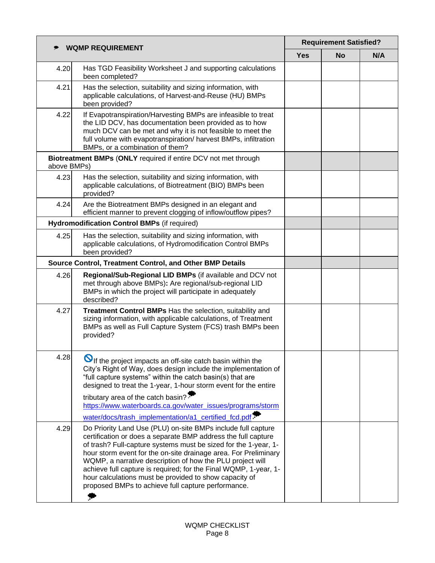| <b>WQMP REQUIREMENT</b> |                                                                                                                                                                                                                                                                                                                                                                                                                                                                                                                      | <b>Requirement Satisfied?</b> |           |     |
|-------------------------|----------------------------------------------------------------------------------------------------------------------------------------------------------------------------------------------------------------------------------------------------------------------------------------------------------------------------------------------------------------------------------------------------------------------------------------------------------------------------------------------------------------------|-------------------------------|-----------|-----|
|                         |                                                                                                                                                                                                                                                                                                                                                                                                                                                                                                                      |                               | <b>No</b> | N/A |
| 4.20                    | Has TGD Feasibility Worksheet J and supporting calculations<br>been completed?                                                                                                                                                                                                                                                                                                                                                                                                                                       |                               |           |     |
| 4.21                    | Has the selection, suitability and sizing information, with<br>applicable calculations, of Harvest-and-Reuse (HU) BMPs<br>been provided?                                                                                                                                                                                                                                                                                                                                                                             |                               |           |     |
| 4.22                    | If Evapotranspiration/Harvesting BMPs are infeasible to treat<br>the LID DCV, has documentation been provided as to how<br>much DCV can be met and why it is not feasible to meet the<br>full volume with evapotranspiration/ harvest BMPs, infiltration<br>BMPs, or a combination of them?                                                                                                                                                                                                                          |                               |           |     |
| above BMPs)             | Biotreatment BMPs (ONLY required if entire DCV not met through                                                                                                                                                                                                                                                                                                                                                                                                                                                       |                               |           |     |
| 4.23                    | Has the selection, suitability and sizing information, with<br>applicable calculations, of Biotreatment (BIO) BMPs been<br>provided?                                                                                                                                                                                                                                                                                                                                                                                 |                               |           |     |
| 4.24                    | Are the Biotreatment BMPs designed in an elegant and<br>efficient manner to prevent clogging of inflow/outflow pipes?                                                                                                                                                                                                                                                                                                                                                                                                |                               |           |     |
|                         | Hydromodification Control BMPs (if required)                                                                                                                                                                                                                                                                                                                                                                                                                                                                         |                               |           |     |
| 4.25                    | Has the selection, suitability and sizing information, with<br>applicable calculations, of Hydromodification Control BMPs<br>been provided?                                                                                                                                                                                                                                                                                                                                                                          |                               |           |     |
|                         | Source Control, Treatment Control, and Other BMP Details                                                                                                                                                                                                                                                                                                                                                                                                                                                             |                               |           |     |
| 4.26                    | Regional/Sub-Regional LID BMPs (if available and DCV not<br>met through above BMPs): Are regional/sub-regional LID<br>BMPs in which the project will participate in adequately<br>described?                                                                                                                                                                                                                                                                                                                         |                               |           |     |
| 4.27                    | Treatment Control BMPs Has the selection, suitability and<br>sizing information, with applicable calculations, of Treatment<br>BMPs as well as Full Capture System (FCS) trash BMPs been<br>provided?                                                                                                                                                                                                                                                                                                                |                               |           |     |
| 4.28                    | $\mathbf{\Theta}$ If the project impacts an off-site catch basin within the<br>City's Right of Way, does design include the implementation of<br>"full capture systems" within the catch basin(s) that are<br>designed to treat the 1-year, 1-hour storm event for the entire                                                                                                                                                                                                                                        |                               |           |     |
|                         | tributary area of the catch basin?<br>https://www.waterboards.ca.gov/water_issues/programs/storm                                                                                                                                                                                                                                                                                                                                                                                                                     |                               |           |     |
|                         | water/docs/trash_implementation/a1_certified_fcd.pdf >                                                                                                                                                                                                                                                                                                                                                                                                                                                               |                               |           |     |
| 4.29                    | Do Priority Land Use (PLU) on-site BMPs include full capture<br>certification or does a separate BMP address the full capture<br>of trash? Full-capture systems must be sized for the 1-year, 1-<br>hour storm event for the on-site drainage area. For Preliminary<br>WQMP, a narrative description of how the PLU project will<br>achieve full capture is required; for the Final WQMP, 1-year, 1-<br>hour calculations must be provided to show capacity of<br>proposed BMPs to achieve full capture performance. |                               |           |     |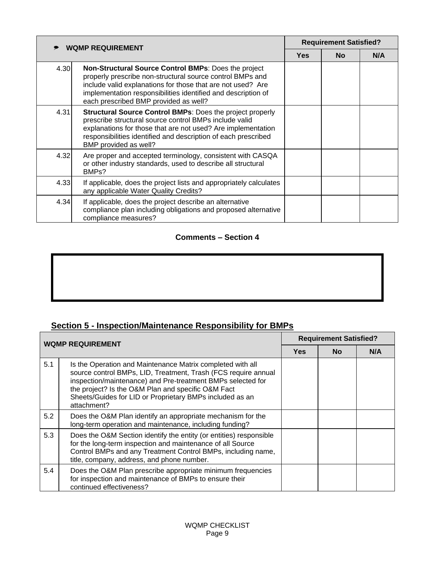|      | <b>WQMP REQUIREMENT</b>                                                                                                                                                                                                                                                                    |            | <b>Requirement Satisfied?</b> |     |
|------|--------------------------------------------------------------------------------------------------------------------------------------------------------------------------------------------------------------------------------------------------------------------------------------------|------------|-------------------------------|-----|
|      |                                                                                                                                                                                                                                                                                            | <b>Yes</b> | <b>No</b>                     | N/A |
| 4.30 | Non-Structural Source Control BMPs: Does the project<br>properly prescribe non-structural source control BMPs and<br>include valid explanations for those that are not used? Are<br>implementation responsibilities identified and description of<br>each prescribed BMP provided as well? |            |                               |     |
| 4.31 | <b>Structural Source Control BMPs: Does the project properly</b><br>prescribe structural source control BMPs include valid<br>explanations for those that are not used? Are implementation<br>responsibilities identified and description of each prescribed<br>BMP provided as well?      |            |                               |     |
| 4.32 | Are proper and accepted terminology, consistent with CASQA<br>or other industry standards, used to describe all structural<br>BMP <sub>s</sub> ?                                                                                                                                           |            |                               |     |
| 4.33 | If applicable, does the project lists and appropriately calculates<br>any applicable Water Quality Credits?                                                                                                                                                                                |            |                               |     |
| 4.34 | If applicable, does the project describe an alternative<br>compliance plan including obligations and proposed alternative<br>compliance measures?                                                                                                                                          |            |                               |     |

# **Section 5 - Inspection/Maintenance Responsibility for BMPs**

| <b>WQMP REQUIREMENT</b> |                                                                                                                                                                                                                                                                                                                              | <b>Requirement Satisfied?</b> |           |     |
|-------------------------|------------------------------------------------------------------------------------------------------------------------------------------------------------------------------------------------------------------------------------------------------------------------------------------------------------------------------|-------------------------------|-----------|-----|
|                         |                                                                                                                                                                                                                                                                                                                              | <b>Yes</b>                    | <b>No</b> | N/A |
| 5.1                     | Is the Operation and Maintenance Matrix completed with all<br>source control BMPs, LID, Treatment, Trash (FCS require annual<br>inspection/maintenance) and Pre-treatment BMPs selected for<br>the project? Is the O&M Plan and specific O&M Fact<br>Sheets/Guides for LID or Proprietary BMPs included as an<br>attachment? |                               |           |     |
| 5.2                     | Does the O&M Plan identify an appropriate mechanism for the<br>long-term operation and maintenance, including funding?                                                                                                                                                                                                       |                               |           |     |
| 5.3                     | Does the O&M Section identify the entity (or entities) responsible<br>for the long-term inspection and maintenance of all Source<br>Control BMPs and any Treatment Control BMPs, including name,<br>title, company, address, and phone number.                                                                               |                               |           |     |
| 5.4                     | Does the O&M Plan prescribe appropriate minimum frequencies<br>for inspection and maintenance of BMPs to ensure their<br>continued effectiveness?                                                                                                                                                                            |                               |           |     |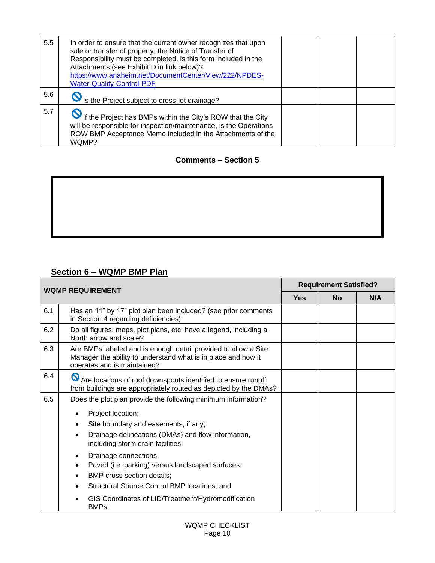| 5.5 | In order to ensure that the current owner recognizes that upon<br>sale or transfer of property, the Notice of Transfer of<br>Responsibility must be completed, is this form included in the<br>Attachments (see Exhibit D in link below)?<br>https://www.anaheim.net/DocumentCenter/View/222/NPDES-<br><b>Water-Quality-Control-PDF</b> |  |  |
|-----|-----------------------------------------------------------------------------------------------------------------------------------------------------------------------------------------------------------------------------------------------------------------------------------------------------------------------------------------|--|--|
| 5.6 | S Is the Project subject to cross-lot drainage?                                                                                                                                                                                                                                                                                         |  |  |
| 5.7 | If the Project has BMPs within the City's ROW that the City<br>will be responsible for inspection/maintenance, is the Operations<br>ROW BMP Acceptance Memo included in the Attachments of the<br>WQMP?                                                                                                                                 |  |  |

# **Section 6 – WQMP BMP Plan**

| <b>WQMP REQUIREMENT</b> |                                                                                                                                                                | <b>Requirement Satisfied?</b> |           |     |
|-------------------------|----------------------------------------------------------------------------------------------------------------------------------------------------------------|-------------------------------|-----------|-----|
|                         |                                                                                                                                                                |                               | <b>No</b> | N/A |
| 6.1                     | Has an 11" by 17" plot plan been included? (see prior comments<br>in Section 4 regarding deficiencies)                                                         |                               |           |     |
| 6.2                     | Do all figures, maps, plot plans, etc. have a legend, including a<br>North arrow and scale?                                                                    |                               |           |     |
| 6.3                     | Are BMPs labeled and is enough detail provided to allow a Site<br>Manager the ability to understand what is in place and how it<br>operates and is maintained? |                               |           |     |
| 6.4                     | Are locations of roof downspouts identified to ensure runoff<br>from buildings are appropriately routed as depicted by the DMAs?                               |                               |           |     |
| 6.5                     | Does the plot plan provide the following minimum information?                                                                                                  |                               |           |     |
|                         | Project location;                                                                                                                                              |                               |           |     |
|                         | Site boundary and easements, if any;                                                                                                                           |                               |           |     |
|                         | Drainage delineations (DMAs) and flow information,<br>including storm drain facilities;                                                                        |                               |           |     |
|                         | Drainage connections,<br>Paved (i.e. parking) versus landscaped surfaces;<br>$\bullet$                                                                         |                               |           |     |
|                         | BMP cross section details;<br>$\bullet$                                                                                                                        |                               |           |     |
|                         | Structural Source Control BMP locations; and                                                                                                                   |                               |           |     |
|                         | GIS Coordinates of LID/Treatment/Hydromodification<br>BMPs;                                                                                                    |                               |           |     |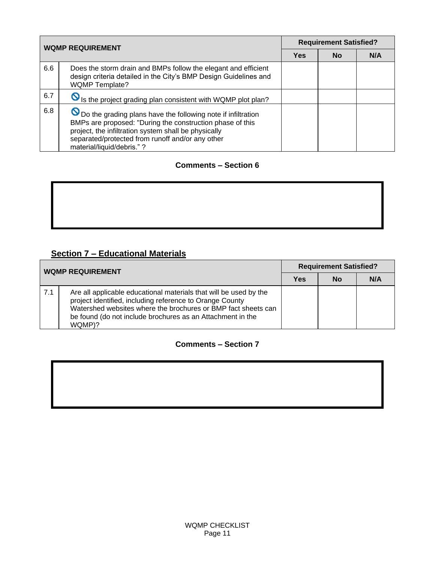| <b>WQMP REQUIREMENT</b> |                                                                                                                                                                                                                                                                      | <b>Requirement Satisfied?</b> |           |     |
|-------------------------|----------------------------------------------------------------------------------------------------------------------------------------------------------------------------------------------------------------------------------------------------------------------|-------------------------------|-----------|-----|
|                         |                                                                                                                                                                                                                                                                      |                               | <b>No</b> | N/A |
| 6.6                     | Does the storm drain and BMPs follow the elegant and efficient<br>design criteria detailed in the City's BMP Design Guidelines and<br><b>WQMP Template?</b>                                                                                                          |                               |           |     |
| 6.7                     | S Is the project grading plan consistent with WQMP plot plan?                                                                                                                                                                                                        |                               |           |     |
| 6.8                     | O Do the grading plans have the following note if infiltration<br>BMPs are proposed: "During the construction phase of this<br>project, the infiltration system shall be physically<br>separated/protected from runoff and/or any other<br>material/liquid/debris."? |                               |           |     |

# **Section 7 – Educational Materials**

| <b>WQMP REQUIREMENT</b> |                                                                                                                                                                                                                                                                        | <b>Requirement Satisfied?</b> |    |     |
|-------------------------|------------------------------------------------------------------------------------------------------------------------------------------------------------------------------------------------------------------------------------------------------------------------|-------------------------------|----|-----|
|                         |                                                                                                                                                                                                                                                                        | Yes                           | No | N/A |
| 7.1                     | Are all applicable educational materials that will be used by the<br>project identified, including reference to Orange County<br>Watershed websites where the brochures or BMP fact sheets can<br>be found (do not include brochures as an Attachment in the<br>WQMP)? |                               |    |     |

#### **Comments – Section 7**